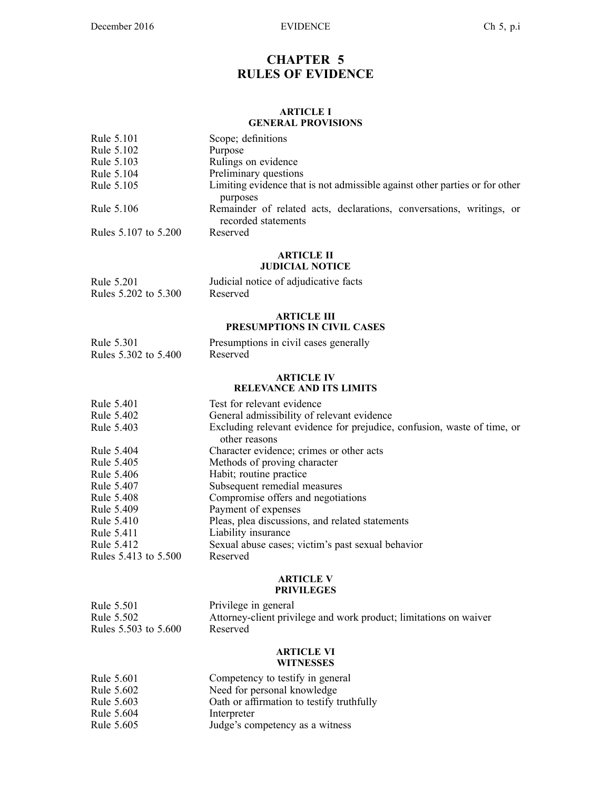# **CHAPTER 5 RULES OF EVIDENCE**

### **ARTICLE I GENERAL PROVISIONS**

| Rule 5.101           | Scope; definitions                                                                          |
|----------------------|---------------------------------------------------------------------------------------------|
| Rule 5.102           | Purpose                                                                                     |
| Rule 5.103           | Rulings on evidence                                                                         |
| Rule 5.104           | Preliminary questions                                                                       |
| Rule 5.105           | Limiting evidence that is not admissible against other parties or for other<br>purposes     |
| Rule 5.106           | Remainder of related acts, declarations, conversations, writings, or<br>recorded statements |
| Rules 5.107 to 5.200 | Reserved                                                                                    |

### **ARTICLE II**

### **JUDICIAL NOTICE**

| Rule 5.201           | Judicial notice of adjudicative facts |
|----------------------|---------------------------------------|
| Rules 5.202 to 5.300 | Reserved                              |

#### **ARTICLE III PRESUMPTIONS IN CIVIL CASES**

| Rule 5.301           | Presumptions in civil cases generally |
|----------------------|---------------------------------------|
| Rules 5.302 to 5.400 | Reserved                              |

#### **ARTICLE IV RELEVANCE AND ITS LIMITS**

| Rule 5.401           | Test for relevant evidence                                                               |
|----------------------|------------------------------------------------------------------------------------------|
| Rule 5.402           | General admissibility of relevant evidence                                               |
| Rule 5.403           | Excluding relevant evidence for prejudice, confusion, waste of time, or<br>other reasons |
| Rule 5.404           | Character evidence; crimes or other acts                                                 |
| Rule 5.405           | Methods of proving character                                                             |
| Rule 5.406           | Habit; routine practice                                                                  |
| Rule 5.407           | Subsequent remedial measures                                                             |
| Rule 5.408           | Compromise offers and negotiations                                                       |
| Rule 5.409           | Payment of expenses                                                                      |
| Rule 5.410           | Pleas, plea discussions, and related statements                                          |
| Rule 5.411           | Liability insurance                                                                      |
| Rule 5.412           | Sexual abuse cases; victim's past sexual behavior                                        |
| Rules 5.413 to 5.500 | Reserved                                                                                 |
|                      |                                                                                          |

#### **ARTICLE V PRIVILEGES**

| Rule 5.501           | Privilege in general                                              |
|----------------------|-------------------------------------------------------------------|
| Rule 5.502           | Attorney-client privilege and work product; limitations on waiver |
| Rules 5.503 to 5.600 | Reserved                                                          |

# **ARTICLE VI**

### **WITNESSES**

| Rule 5.601 | Competency to testify in general          |
|------------|-------------------------------------------|
| Rule 5.602 | Need for personal knowledge               |
| Rule 5.603 | Oath or affirmation to testify truthfully |
| Rule 5.604 | Interpreter                               |
| Rule 5.605 | Judge's competency as a witness           |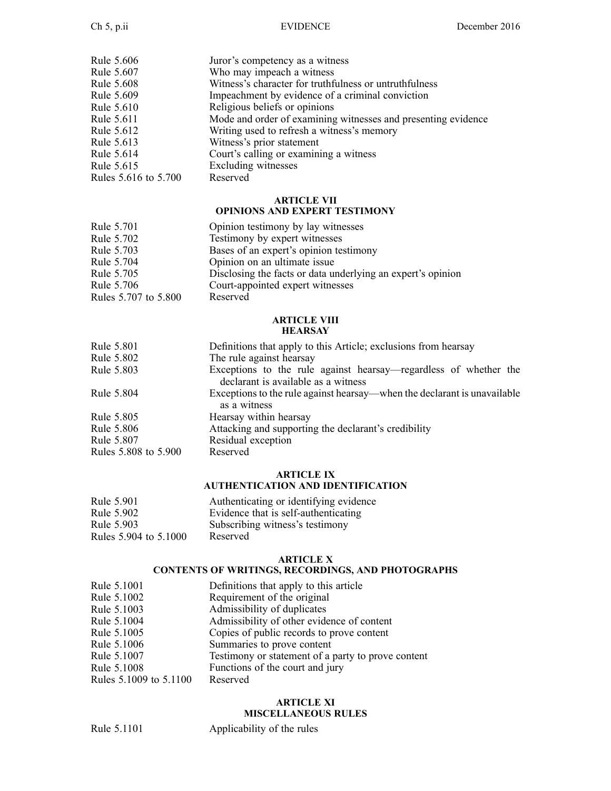| Rule 5.606           | Juror's competency as a witness                               |
|----------------------|---------------------------------------------------------------|
| Rule 5.607           | Who may impeach a witness                                     |
| Rule 5.608           | Witness's character for truthfulness or untruthfulness        |
| Rule 5.609           | Impeachment by evidence of a criminal conviction              |
| Rule 5.610           | Religious beliefs or opinions                                 |
| Rule 5.611           | Mode and order of examining witnesses and presenting evidence |
| Rule 5.612           | Writing used to refresh a witness's memory                    |
| Rule 5.613           | Witness's prior statement                                     |
| Rule 5.614           | Court's calling or examining a witness                        |
| Rule 5.615           | Excluding witnesses                                           |
| Rules 5.616 to 5.700 | Reserved                                                      |
|                      |                                                               |

# **ARTICLE VII**

# **OPINIONS AND EXPERT TESTIMONY**

| Rule 5.701           | Opinion testimony by lay witnesses                          |
|----------------------|-------------------------------------------------------------|
| Rule 5.702           | Testimony by expert witnesses                               |
| Rule 5.703           | Bases of an expert's opinion testimony                      |
| Rule 5.704           | Opinion on an ultimate issue                                |
| Rule 5.705           | Disclosing the facts or data underlying an expert's opinion |
| Rule 5.706           | Court-appointed expert witnesses                            |
| Rules 5.707 to 5.800 | Reserved                                                    |

#### **ARTICLE VIII HEARSAY**

| Rule 5.801<br>Rule 5.802 | Definitions that apply to this Article; exclusions from hearsay<br>The rule against hearsay             |
|--------------------------|---------------------------------------------------------------------------------------------------------|
| Rule 5.803               | Exceptions to the rule against hearsay—regardless of whether the<br>declarant is available as a witness |
| Rule 5.804               | Exceptions to the rule against hearsay—when the declarant is unavailable<br>as a witness                |
| Rule 5.805               | Hearsay within hearsay                                                                                  |
| Rule 5.806               | Attacking and supporting the declarant's credibility                                                    |
| Rule 5.807               | Residual exception                                                                                      |
| Rules 5.808 to 5.900     | Reserved                                                                                                |

### **ARTICLE IX**

## **AUTHENTICATION AND IDENTIFICATION**

| Rule 5.901            | Authenticating or identifying evidence |
|-----------------------|----------------------------------------|
| Rule 5.902            | Evidence that is self-authenticating   |
| Rule 5.903            | Subscribing witness's testimony        |
| Rules 5.904 to 5.1000 | Reserved                               |

### **ARTICLE X**

### **CONTENTS OF WRITINGS, RECORDINGS, AND PHOTOGRAPHS**

| Rule 5.1001            | Definitions that apply to this article             |
|------------------------|----------------------------------------------------|
| Rule 5.1002            | Requirement of the original                        |
| Rule 5.1003            | Admissibility of duplicates                        |
| Rule 5.1004            | Admissibility of other evidence of content         |
| Rule 5.1005            | Copies of public records to prove content          |
| Rule 5.1006            | Summaries to prove content                         |
| Rule 5.1007            | Testimony or statement of a party to prove content |
| <b>Rule 5.1008</b>     | Functions of the court and jury                    |
| Rules 5.1009 to 5.1100 | Reserved                                           |
|                        |                                                    |

#### **ARTICLE XI MISCELLANEOUS RULES**

| Rule 5.1101 | Applicability of the rules |
|-------------|----------------------------|
|             |                            |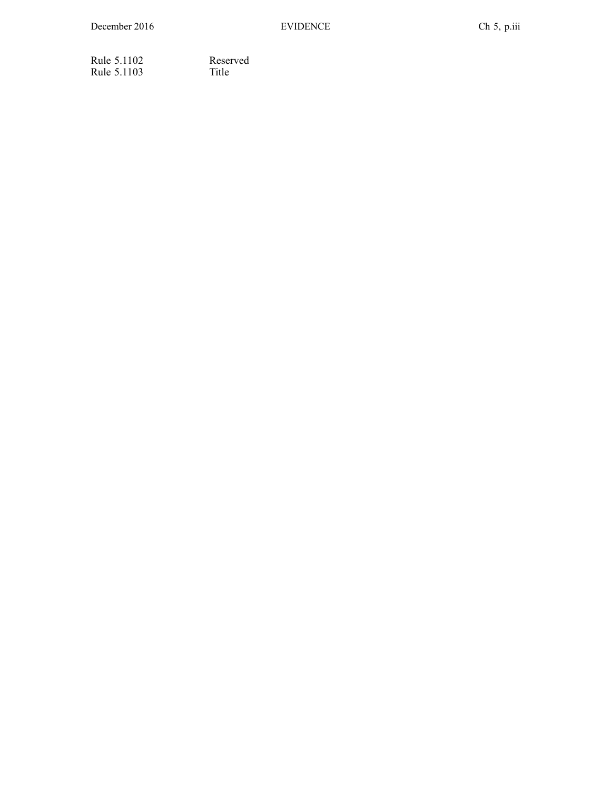Rule 5.1102 Reserved Rule 5.1103

Title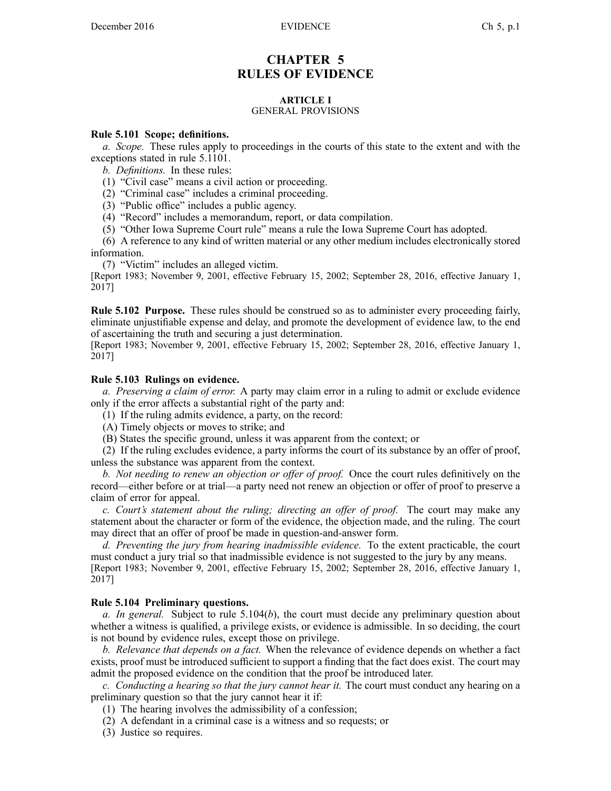# **CHAPTER 5 RULES OF EVIDENCE**

### **ARTICLE I**

### GENERAL PROVISIONS

### **Rule 5.101 Scope; definitions.**

*a. Scope.* These rules apply to proceedings in the courts of this state to the extent and with the exceptions stated in rule 5.1101.

*b. Definitions.* In these rules:

(1) "Civil case" means <sup>a</sup> civil action or proceeding.

(2) "Criminal case" includes <sup>a</sup> criminal proceeding.

(3) "Public office" includes <sup>a</sup> public agency.

(4) "Record" includes <sup>a</sup> memorandum, report, or data compilation.

(5) "Other Iowa Supreme Court rule" means <sup>a</sup> rule the Iowa Supreme Court has adopted.

(6) A reference to any kind of written material or any other medium includes electronically stored information.

(7) "Victim" includes an alleged victim.

[Report 1983; November 9, 2001, effective February 15, 2002; September 28, 2016, effective January 1, 2017]

**Rule 5.102 Purpose.** These rules should be construed so as to administer every proceeding fairly, eliminate unjustifiable expense and delay, and promote the development of evidence law, to the end of ascertaining the truth and securing <sup>a</sup> just determination.

[Report 1983; November 9, 2001, effective February 15, 2002; September 28, 2016, effective January 1, 2017]

### **Rule 5.103 Rulings on evidence.**

*a. Preserving <sup>a</sup> claim of error.* A party may claim error in <sup>a</sup> ruling to admit or exclude evidence only if the error affects <sup>a</sup> substantial right of the party and:

(1) If the ruling admits evidence, <sup>a</sup> party, on the record:

(A) Timely objects or moves to strike; and

(B) States the specific ground, unless it was apparen<sup>t</sup> from the context; or

(2) If the ruling excludes evidence, <sup>a</sup> party informs the court of its substance by an offer of proof, unless the substance was apparen<sup>t</sup> from the context.

*b. Not needing to renew an objection or offer of proof.* Once the court rules definitively on the record—either before or at trial—a party need not renew an objection or offer of proof to preserve <sup>a</sup> claim of error for appeal.

*c. Court's statement about the ruling; directing an offer of proof.* The court may make any statement about the character or form of the evidence, the objection made, and the ruling. The court may direct that an offer of proof be made in question-and-answer form.

*d. Preventing the jury from hearing inadmissible evidence.* To the extent practicable, the court must conduct <sup>a</sup> jury trial so that inadmissible evidence is not suggested to the jury by any means. [Report 1983; November 9, 2001, effective February 15, 2002; September 28, 2016, effective January 1,

2017]

### **Rule 5.104 Preliminary questions.**

*a. In general.* Subject to rule 5.104(*b*), the court must decide any preliminary question about whether <sup>a</sup> witness is qualified, <sup>a</sup> privilege exists, or evidence is admissible. In so deciding, the court is not bound by evidence rules, excep<sup>t</sup> those on privilege.

*b. Relevance that depends on <sup>a</sup> fact.* When the relevance of evidence depends on whether <sup>a</sup> fact exists, proof must be introduced sufficient to suppor<sup>t</sup> <sup>a</sup> finding that the fact does exist. The court may admit the proposed evidence on the condition that the proof be introduced later.

*c. Conducting <sup>a</sup> hearing so that the jury cannot hear it.* The court must conduct any hearing on <sup>a</sup> preliminary question so that the jury cannot hear it if:

- (1) The hearing involves the admissibility of <sup>a</sup> confession;
- (2) A defendant in <sup>a</sup> criminal case is <sup>a</sup> witness and so requests; or
- (3) Justice so requires.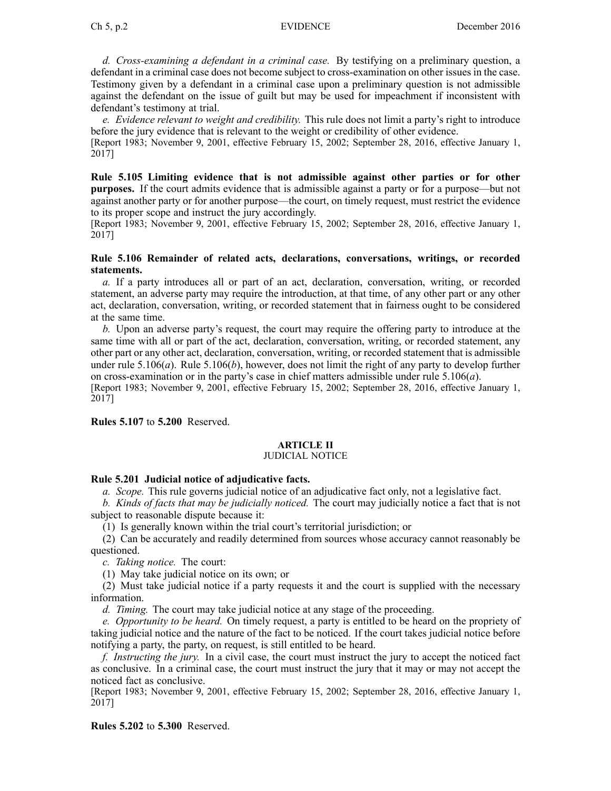*d. Cross-examining <sup>a</sup> defendant in <sup>a</sup> criminal case.* By testifying on <sup>a</sup> preliminary question, <sup>a</sup> defendant in <sup>a</sup> criminal case does not become subject to cross-examination on other issues in the case. Testimony given by <sup>a</sup> defendant in <sup>a</sup> criminal case upon <sup>a</sup> preliminary question is not admissible against the defendant on the issue of guilt but may be used for impeachment if inconsistent with defendant's testimony at trial.

*e. Evidence relevant to weight and credibility.* This rule does not limit <sup>a</sup> party's right to introduce before the jury evidence that is relevant to the weight or credibility of other evidence.

[Report 1983; November 9, 2001, effective February 15, 2002; September 28, 2016, effective January 1, 2017]

**Rule 5.105 Limiting evidence that is not admissible against other parties or for other purposes.** If the court admits evidence that is admissible against <sup>a</sup> party or for <sup>a</sup> purpose—but not against another party or for another purpose—the court, on timely request, must restrict the evidence to its proper scope and instruct the jury accordingly.

[Report 1983; November 9, 2001, effective February 15, 2002; September 28, 2016, effective January 1, 2017]

### **Rule 5.106 Remainder of related acts, declarations, conversations, writings, or recorded statements.**

*a.* If <sup>a</sup> party introduces all or par<sup>t</sup> of an act, declaration, conversation, writing, or recorded statement, an adverse party may require the introduction, at that time, of any other par<sup>t</sup> or any other act, declaration, conversation, writing, or recorded statement that in fairness ought to be considered at the same time.

*b.* Upon an adverse party's request, the court may require the offering party to introduce at the same time with all or par<sup>t</sup> of the act, declaration, conversation, writing, or recorded statement, any other par<sup>t</sup> or any other act, declaration, conversation, writing, or recorded statement that is admissible under rule 5.106(*a*). Rule 5.106(*b*), however, does not limit the right of any party to develop further on cross-examination or in the party's case in chief matters admissible under rule 5.106(*a*).

[Report 1983; November 9, 2001, effective February 15, 2002; September 28, 2016, effective January 1, 2017]

**Rules 5.107** to **5.200** Reserved.

#### **ARTICLE II** JUDICIAL NOTICE

### **Rule 5.201 Judicial notice of adjudicative facts.**

*a. Scope.* This rule governs judicial notice of an adjudicative fact only, not <sup>a</sup> legislative fact.

*b. Kinds of facts that may be judicially noticed.* The court may judicially notice <sup>a</sup> fact that is not subject to reasonable dispute because it:

(1) Is generally known within the trial court's territorial jurisdiction; or

(2) Can be accurately and readily determined from sources whose accuracy cannot reasonably be questioned.

*c. Taking notice.* The court:

(1) May take judicial notice on its own; or

(2) Must take judicial notice if <sup>a</sup> party requests it and the court is supplied with the necessary information.

*d. Timing.* The court may take judicial notice at any stage of the proceeding.

*e. Opportunity to be heard.* On timely request, <sup>a</sup> party is entitled to be heard on the propriety of taking judicial notice and the nature of the fact to be noticed. If the court takes judicial notice before notifying <sup>a</sup> party, the party, on request, is still entitled to be heard.

*f. Instructing the jury.* In <sup>a</sup> civil case, the court must instruct the jury to accep<sup>t</sup> the noticed fact as conclusive. In <sup>a</sup> criminal case, the court must instruct the jury that it may or may not accep<sup>t</sup> the noticed fact as conclusive.

[Report 1983; November 9, 2001, effective February 15, 2002; September 28, 2016, effective January 1, 2017]

**Rules 5.202** to **5.300** Reserved.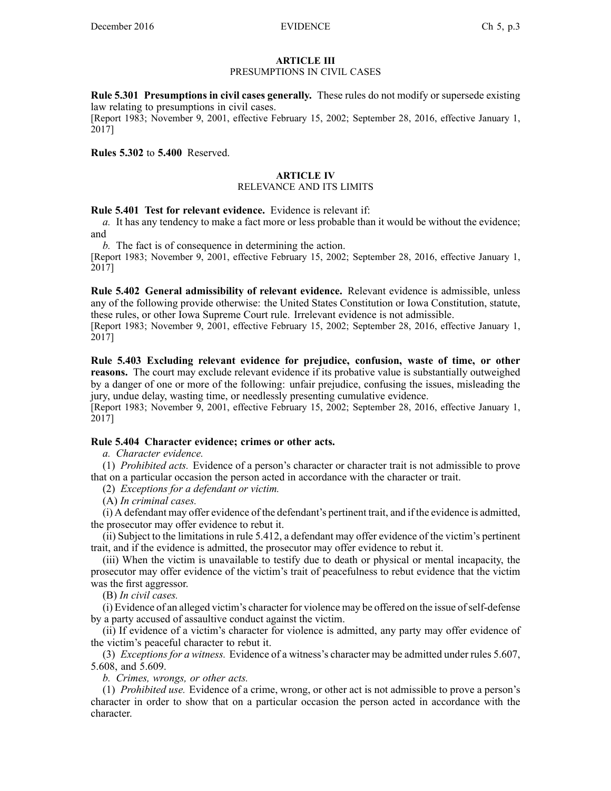# **ARTICLE III**

### PRESUMPTIONS IN CIVIL CASES

**Rule 5.301 Presumptions in civil cases generally.** These rules do not modify or supersede existing law relating to presumptions in civil cases.

[Report 1983; November 9, 2001, effective February 15, 2002; September 28, 2016, effective January 1, 2017]

**Rules 5.302** to **5.400** Reserved.

### **ARTICLE IV**

## RELEVANCE AND ITS LIMITS

### **Rule 5.401 Test for relevant evidence.** Evidence is relevant if:

*a.* It has any tendency to make <sup>a</sup> fact more or less probable than it would be without the evidence; and

*b.* The fact is of consequence in determining the action.

[Report 1983; November 9, 2001, effective February 15, 2002; September 28, 2016, effective January 1, 2017]

**Rule 5.402 General admissibility of relevant evidence.** Relevant evidence is admissible, unless any of the following provide otherwise: the United States Constitution or Iowa Constitution, statute, these rules, or other Iowa Supreme Court rule. Irrelevant evidence is not admissible.

[Report 1983; November 9, 2001, effective February 15, 2002; September 28, 2016, effective January 1, 2017]

**Rule 5.403 Excluding relevant evidence for prejudice, confusion, waste of time, or other reasons.** The court may exclude relevant evidence if its probative value is substantially outweighed by <sup>a</sup> danger of one or more of the following: unfair prejudice, confusing the issues, misleading the jury, undue delay, wasting time, or needlessly presenting cumulative evidence.

[Report 1983; November 9, 2001, effective February 15, 2002; September 28, 2016, effective January 1, 2017]

### **Rule 5.404 Character evidence; crimes or other acts.**

*a. Character evidence.*

(1) *Prohibited acts.* Evidence of <sup>a</sup> person's character or character trait is not admissible to prove that on <sup>a</sup> particular occasion the person acted in accordance with the character or trait.

(2) *Exceptions for <sup>a</sup> defendant or victim.*

(A) *In criminal cases.*

(i) A defendant may offer evidence of the defendant's pertinent trait, and if the evidence is admitted, the prosecutor may offer evidence to rebut it.

(ii) Subject to the limitations in rule 5.412, <sup>a</sup> defendant may offer evidence of the victim's pertinent trait, and if the evidence is admitted, the prosecutor may offer evidence to rebut it.

(iii) When the victim is unavailable to testify due to death or physical or mental incapacity, the prosecutor may offer evidence of the victim's trait of peacefulness to rebut evidence that the victim was the first aggressor.

(B) *In civil cases.*

(i) Evidence of an alleged victim's character for violence may be offered on the issue ofself-defense by <sup>a</sup> party accused of assaultive conduct against the victim.

(ii) If evidence of <sup>a</sup> victim's character for violence is admitted, any party may offer evidence of the victim's peaceful character to rebut it.

(3) *Exceptionsfor <sup>a</sup> witness.* Evidence of <sup>a</sup> witness's character may be admitted under rules 5.607, 5.608, and 5.609.

*b. Crimes, wrongs, or other acts.*

(1) *Prohibited use.* Evidence of <sup>a</sup> crime, wrong, or other act is not admissible to prove <sup>a</sup> person's character in order to show that on <sup>a</sup> particular occasion the person acted in accordance with the character.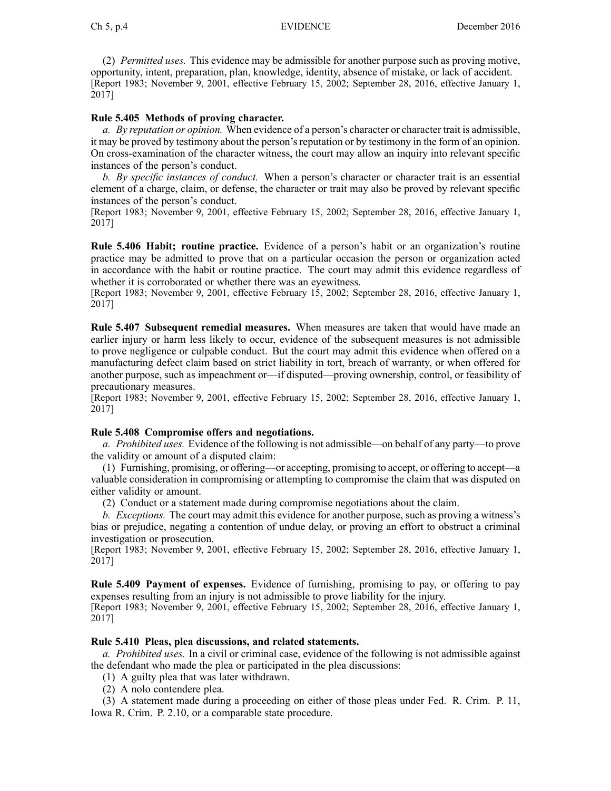(2) *Permitted uses.* This evidence may be admissible for another purpose such as proving motive, opportunity, intent, preparation, plan, knowledge, identity, absence of mistake, or lack of accident. [Report 1983; November 9, 2001, effective February 15, 2002; September 28, 2016, effective January 1, 2017]

### **Rule 5.405 Methods of proving character.**

*a. By reputation or opinion.* When evidence of <sup>a</sup> person's character or character trait is admissible, it may be proved by testimony about the person's reputation or by testimony in the form of an opinion. On cross-examination of the character witness, the court may allow an inquiry into relevant specific instances of the person's conduct.

*b. By specific instances of conduct.* When <sup>a</sup> person's character or character trait is an essential element of <sup>a</sup> charge, claim, or defense, the character or trait may also be proved by relevant specific instances of the person's conduct.

[Report 1983; November 9, 2001, effective February 15, 2002; September 28, 2016, effective January 1, 2017]

**Rule 5.406 Habit; routine practice.** Evidence of <sup>a</sup> person's habit or an organization's routine practice may be admitted to prove that on <sup>a</sup> particular occasion the person or organization acted in accordance with the habit or routine practice. The court may admit this evidence regardless of whether it is corroborated or whether there was an eyewitness.

[Report 1983; November 9, 2001, effective February 15, 2002; September 28, 2016, effective January 1, 2017]

**Rule 5.407 Subsequent remedial measures.** When measures are taken that would have made an earlier injury or harm less likely to occur, evidence of the subsequent measures is not admissible to prove negligence or culpable conduct. But the court may admit this evidence when offered on <sup>a</sup> manufacturing defect claim based on strict liability in tort, breach of warranty, or when offered for another purpose, such as impeachment or—if disputed—proving ownership, control, or feasibility of precautionary measures.

[Report 1983; November 9, 2001, effective February 15, 2002; September 28, 2016, effective January 1, 2017]

### **Rule 5.408 Compromise offers and negotiations.**

*a. Prohibited uses.* Evidence of the following is not admissible—on behalf of any party—to prove the validity or amount of <sup>a</sup> disputed claim:

(1) Furnishing, promising, or offering—or accepting, promising to accept, or offering to accept—a valuable consideration in compromising or attempting to compromise the claim that was disputed on either validity or amount.

(2) Conduct or <sup>a</sup> statement made during compromise negotiations about the claim.

*b. Exceptions.* The court may admit this evidence for another purpose, such as proving <sup>a</sup> witness's bias or prejudice, negating <sup>a</sup> contention of undue delay, or proving an effort to obstruct <sup>a</sup> criminal investigation or prosecution.

[Report 1983; November 9, 2001, effective February 15, 2002; September 28, 2016, effective January 1, 2017]

**Rule 5.409 Payment of expenses.** Evidence of furnishing, promising to pay, or offering to pay expenses resulting from an injury is not admissible to prove liability for the injury.

[Report 1983; November 9, 2001, effective February 15, 2002; September 28, 2016, effective January 1, 2017]

### **Rule 5.410 Pleas, plea discussions, and related statements.**

*a. Prohibited uses.* In <sup>a</sup> civil or criminal case, evidence of the following is not admissible against the defendant who made the plea or participated in the plea discussions:

- (1) A guilty plea that was later withdrawn.
- (2) A nolo contendere plea.

(3) A statement made during <sup>a</sup> proceeding on either of those pleas under Fed. R. Crim. P. 11, Iowa R. Crim. P. 2.10, or <sup>a</sup> comparable state procedure.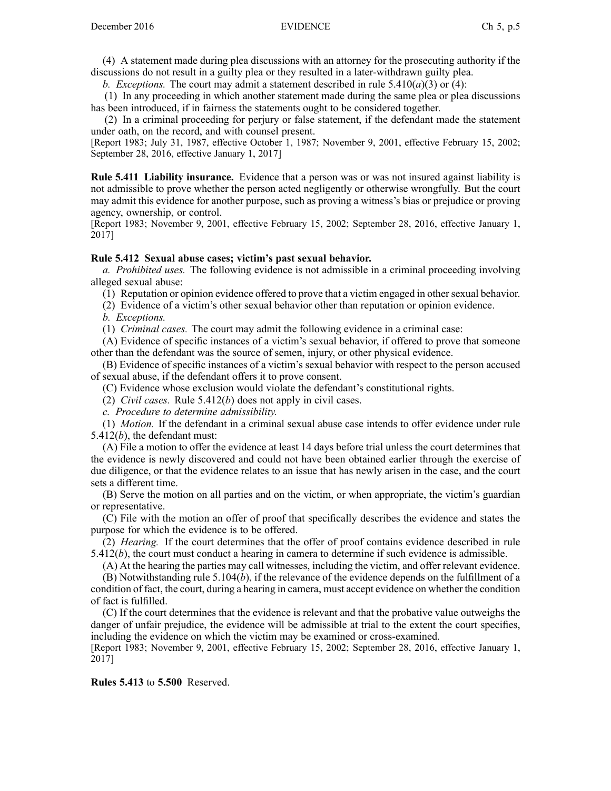(4) A statement made during plea discussions with an attorney for the prosecuting authority if the discussions do not result in <sup>a</sup> guilty plea or they resulted in <sup>a</sup> later-withdrawn guilty plea.

*b. Exceptions.* The court may admit a statement described in rule 5.410( $a$ )(3) or (4):

(1) In any proceeding in which another statement made during the same plea or plea discussions has been introduced, if in fairness the statements ought to be considered together.

(2) In <sup>a</sup> criminal proceeding for perjury or false statement, if the defendant made the statement under oath, on the record, and with counsel present.

[Report 1983; July 31, 1987, effective October 1, 1987; November 9, 2001, effective February 15, 2002; September 28, 2016, effective January 1, 2017]

**Rule 5.411 Liability insurance.** Evidence that <sup>a</sup> person was or was not insured against liability is not admissible to prove whether the person acted negligently or otherwise wrongfully. But the court may admit this evidence for another purpose, such as proving <sup>a</sup> witness's bias or prejudice or proving agency, ownership, or control.

[Report 1983; November 9, 2001, effective February 15, 2002; September 28, 2016, effective January 1, 2017]

### **Rule 5.412 Sexual abuse cases; victim's past sexual behavior.**

*a. Prohibited uses.* The following evidence is not admissible in <sup>a</sup> criminal proceeding involving alleged sexual abuse:

(1) Reputation or opinion evidence offered to prove that <sup>a</sup> victim engaged in othersexual behavior.

(2) Evidence of <sup>a</sup> victim's other sexual behavior other than reputation or opinion evidence.

*b. Exceptions.*

(1) *Criminal cases.* The court may admit the following evidence in <sup>a</sup> criminal case:

(A) Evidence of specific instances of <sup>a</sup> victim's sexual behavior, if offered to prove that someone other than the defendant was the source of semen, injury, or other physical evidence.

(B) Evidence of specific instances of <sup>a</sup> victim's sexual behavior with respec<sup>t</sup> to the person accused of sexual abuse, if the defendant offers it to prove consent.

(C) Evidence whose exclusion would violate the defendant's constitutional rights.

(2) *Civil cases.* Rule 5.412(*b*) does not apply in civil cases.

*c. Procedure to determine admissibility.*

(1) *Motion.* If the defendant in <sup>a</sup> criminal sexual abuse case intends to offer evidence under rule 5.412(*b*), the defendant must:

(A) File <sup>a</sup> motion to offer the evidence at least 14 days before trial unless the court determines that the evidence is newly discovered and could not have been obtained earlier through the exercise of due diligence, or that the evidence relates to an issue that has newly arisen in the case, and the court sets <sup>a</sup> different time.

(B) Serve the motion on all parties and on the victim, or when appropriate, the victim's guardian or representative.

(C) File with the motion an offer of proof that specifically describes the evidence and states the purpose for which the evidence is to be offered.

(2) *Hearing.* If the court determines that the offer of proof contains evidence described in rule 5.412(*b*), the court must conduct <sup>a</sup> hearing in camera to determine if such evidence is admissible.

(A) At the hearing the parties may call witnesses, including the victim, and offer relevant evidence.

(B) Notwithstanding rule 5.104(*b*), if the relevance of the evidence depends on the fulfillment of <sup>a</sup> condition of fact, the court, during <sup>a</sup> hearing in camera, must accep<sup>t</sup> evidence on whether the condition of fact is fulfilled.

(C) If the court determines that the evidence is relevant and that the probative value outweighs the danger of unfair prejudice, the evidence will be admissible at trial to the extent the court specifies, including the evidence on which the victim may be examined or cross-examined.

[Report 1983; November 9, 2001, effective February 15, 2002; September 28, 2016, effective January 1, 2017]

### **Rules 5.413** to **5.500** Reserved.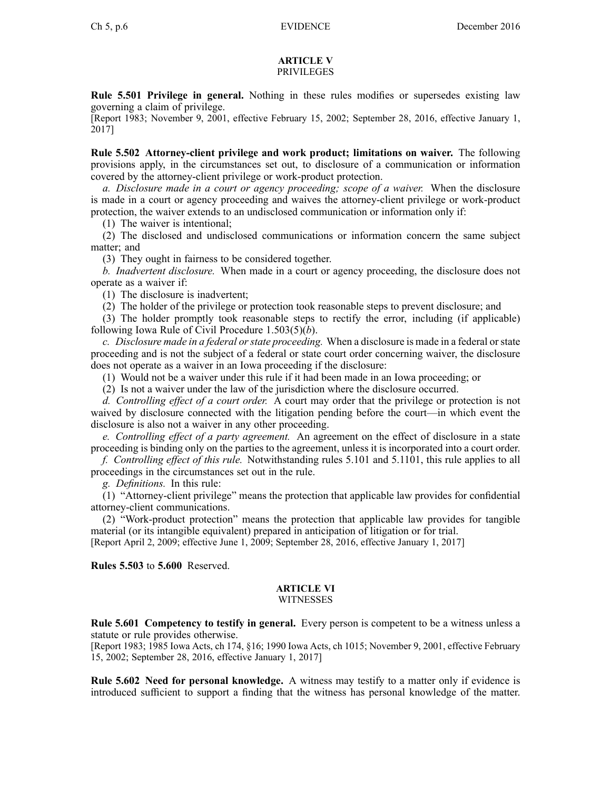#### **ARTICLE V** PRIVILEGES

**Rule 5.501 Privilege in general.** Nothing in these rules modifies or supersedes existing law governing <sup>a</sup> claim of privilege.

[Report 1983; November 9, 2001, effective February 15, 2002; September 28, 2016, effective January 1, 2017]

**Rule 5.502 Attorney-client privilege and work product; limitations on waiver.** The following provisions apply, in the circumstances set out, to disclosure of <sup>a</sup> communication or information covered by the attorney-client privilege or work-product protection.

*a. Disclosure made in <sup>a</sup> court or agency proceeding; scope of <sup>a</sup> waiver.* When the disclosure is made in <sup>a</sup> court or agency proceeding and waives the attorney-client privilege or work-product protection, the waiver extends to an undisclosed communication or information only if:

(1) The waiver is intentional;

(2) The disclosed and undisclosed communications or information concern the same subject matter; and

(3) They ought in fairness to be considered together.

*b. Inadvertent disclosure.* When made in <sup>a</sup> court or agency proceeding, the disclosure does not operate as <sup>a</sup> waiver if:

(1) The disclosure is inadvertent;

(2) The holder of the privilege or protection took reasonable steps to preven<sup>t</sup> disclosure; and

(3) The holder promptly took reasonable steps to rectify the error, including (if applicable) following Iowa Rule of Civil Procedure 1.503(5)(*b*).

*c. Disclosure made in <sup>a</sup> federal orstate proceeding.* When <sup>a</sup> disclosure is made in <sup>a</sup> federal orstate proceeding and is not the subject of <sup>a</sup> federal or state court order concerning waiver, the disclosure does not operate as <sup>a</sup> waiver in an Iowa proceeding if the disclosure:

(1) Would not be <sup>a</sup> waiver under this rule if it had been made in an Iowa proceeding; or

(2) Is not <sup>a</sup> waiver under the law of the jurisdiction where the disclosure occurred.

*d. Controlling effect of <sup>a</sup> court order.* A court may order that the privilege or protection is not waived by disclosure connected with the litigation pending before the court—in which event the disclosure is also not <sup>a</sup> waiver in any other proceeding.

*e. Controlling effect of <sup>a</sup> party agreement.* An agreemen<sup>t</sup> on the effect of disclosure in <sup>a</sup> state proceeding is binding only on the parties to the agreement, unless it is incorporated into <sup>a</sup> court order.

*f. Controlling effect of this rule.* Notwithstanding rules 5.101 and 5.1101, this rule applies to all proceedings in the circumstances set out in the rule.

*g. Definitions.* In this rule:

 $(1)$  "Attorney-client privilege" means the protection that applicable law provides for confidential attorney-client communications.

(2) "Work-product protection" means the protection that applicable law provides for tangible material (or its intangible equivalent) prepared in anticipation of litigation or for trial. [Report April 2, 2009; effective June 1, 2009; September 28, 2016, effective January 1, 2017]

**Rules 5.503** to **5.600** Reserved.

### **ARTICLE VI**

### WITNESSES

**Rule 5.601 Competency to testify in general.** Every person is competent to be <sup>a</sup> witness unless <sup>a</sup> statute or rule provides otherwise.

[Report 1983; 1985 Iowa Acts, ch 174, §16; 1990 Iowa Acts, ch 1015; November 9, 2001, effective February 15, 2002; September 28, 2016, effective January 1, 2017]

**Rule 5.602 Need for personal knowledge.** A witness may testify to <sup>a</sup> matter only if evidence is introduced sufficient to suppor<sup>t</sup> <sup>a</sup> finding that the witness has personal knowledge of the matter.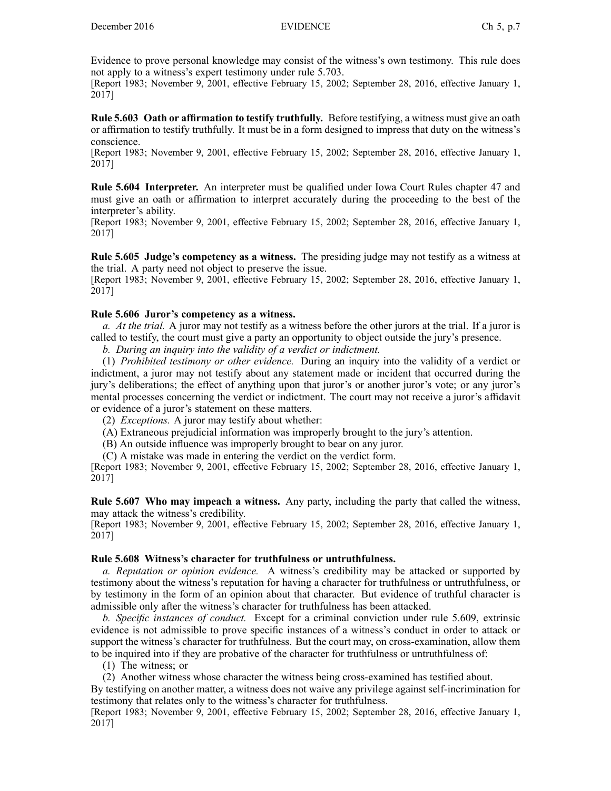Evidence to prove personal knowledge may consist of the witness's own testimony. This rule does not apply to <sup>a</sup> witness's exper<sup>t</sup> testimony under rule 5.703.

[Report 1983; November 9, 2001, effective February 15, 2002; September 28, 2016, effective January 1, 2017]

**Rule 5.603 Oath or affirmation to testify truthfully.** Before testifying, <sup>a</sup> witness must give an oath or affirmation to testify truthfully. It must be in <sup>a</sup> form designed to impress that duty on the witness's conscience.

[Report 1983; November 9, 2001, effective February 15, 2002; September 28, 2016, effective January 1, 2017]

**Rule 5.604 Interpreter.** An interpreter must be qualified under Iowa Court Rules chapter 47 and must give an oath or affirmation to interpret accurately during the proceeding to the best of the interpreter's ability.

[Report 1983; November 9, 2001, effective February 15, 2002; September 28, 2016, effective January 1, 2017]

**Rule 5.605 Judge's competency as <sup>a</sup> witness.** The presiding judge may not testify as <sup>a</sup> witness at the trial. A party need not object to preserve the issue.

[Report 1983; November 9, 2001, effective February 15, 2002; September 28, 2016, effective January 1, 2017]

### **Rule 5.606 Juror's competency as <sup>a</sup> witness.**

*a. At the trial.* A juror may not testify as <sup>a</sup> witness before the other jurors at the trial. If <sup>a</sup> juror is called to testify, the court must give <sup>a</sup> party an opportunity to object outside the jury's presence.

*b. During an inquiry into the validity of <sup>a</sup> verdict or indictment.*

(1) *Prohibited testimony or other evidence.* During an inquiry into the validity of <sup>a</sup> verdict or indictment, <sup>a</sup> juror may not testify about any statement made or incident that occurred during the jury's deliberations; the effect of anything upon that juror's or another juror's vote; or any juror's mental processes concerning the verdict or indictment. The court may not receive <sup>a</sup> juror's affidavit or evidence of <sup>a</sup> juror's statement on these matters.

(2) *Exceptions.* A juror may testify about whether:

(A) Extraneous prejudicial information was improperly brought to the jury's attention.

(B) An outside influence was improperly brought to bear on any juror.

(C) A mistake was made in entering the verdict on the verdict form.

[Report 1983; November 9, 2001, effective February 15, 2002; September 28, 2016, effective January 1, 2017]

**Rule 5.607 Who may impeach <sup>a</sup> witness.** Any party, including the party that called the witness, may attack the witness's credibility.

[Report 1983; November 9, 2001, effective February 15, 2002; September 28, 2016, effective January 1, 2017]

#### **Rule 5.608 Witness's character for truthfulness or untruthfulness.**

*a. Reputation or opinion evidence.* A witness's credibility may be attacked or supported by testimony about the witness's reputation for having <sup>a</sup> character for truthfulness or untruthfulness, or by testimony in the form of an opinion about that character. But evidence of truthful character is admissible only after the witness's character for truthfulness has been attacked.

*b. Specific instances of conduct.* Except for <sup>a</sup> criminal conviction under rule 5.609, extrinsic evidence is not admissible to prove specific instances of <sup>a</sup> witness's conduct in order to attack or suppor<sup>t</sup> the witness's character for truthfulness. But the court may, on cross-examination, allow them to be inquired into if they are probative of the character for truthfulness or untruthfulness of:

(1) The witness; or

(2) Another witness whose character the witness being cross-examined has testified about.

By testifying on another matter, <sup>a</sup> witness does not waive any privilege against self-incrimination for testimony that relates only to the witness's character for truthfulness.

[Report 1983; November 9, 2001, effective February 15, 2002; September 28, 2016, effective January 1, 2017]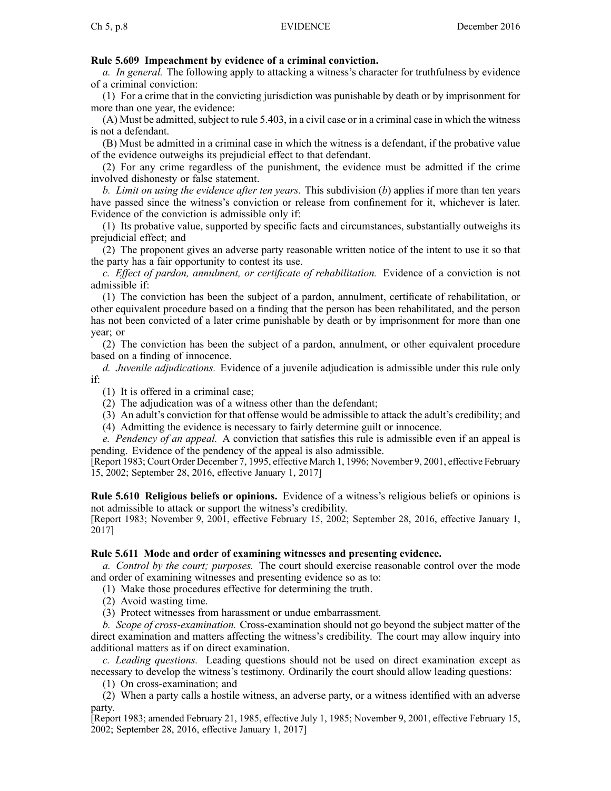### **Rule 5.609 Impeachment by evidence of <sup>a</sup> criminal conviction.**

*a. In general.* The following apply to attacking <sup>a</sup> witness's character for truthfulness by evidence of <sup>a</sup> criminal conviction:

(1) For <sup>a</sup> crime that in the convicting jurisdiction was punishable by death or by imprisonment for more than one year, the evidence:

(A) Must be admitted, subject to rule 5.403, in <sup>a</sup> civil case or in <sup>a</sup> criminal case in which the witness is not <sup>a</sup> defendant.

(B) Must be admitted in <sup>a</sup> criminal case in which the witness is <sup>a</sup> defendant, if the probative value of the evidence outweighs its prejudicial effect to that defendant.

(2) For any crime regardless of the punishment, the evidence must be admitted if the crime involved dishonesty or false statement.

*b. Limit on using the evidence after ten years.* This subdivision (*b*) applies if more than ten years have passed since the witness's conviction or release from confinement for it, whichever is later. Evidence of the conviction is admissible only if:

(1) Its probative value, supported by specific facts and circumstances, substantially outweighs its prejudicial effect; and

(2) The proponen<sup>t</sup> gives an adverse party reasonable written notice of the intent to use it so that the party has <sup>a</sup> fair opportunity to contest its use.

*c. Effect of pardon, annulment, or certificate of rehabilitation.* Evidence of <sup>a</sup> conviction is not admissible if:

(1) The conviction has been the subject of <sup>a</sup> pardon, annulment, certificate of rehabilitation, or other equivalent procedure based on <sup>a</sup> finding that the person has been rehabilitated, and the person has not been convicted of <sup>a</sup> later crime punishable by death or by imprisonment for more than one year; or

(2) The conviction has been the subject of <sup>a</sup> pardon, annulment, or other equivalent procedure based on <sup>a</sup> finding of innocence.

*d. Juvenile adjudications.* Evidence of <sup>a</sup> juvenile adjudication is admissible under this rule only if:

(1) It is offered in <sup>a</sup> criminal case;

(2) The adjudication was of <sup>a</sup> witness other than the defendant;

(3) An adult's conviction for that offense would be admissible to attack the adult's credibility; and

(4) Admitting the evidence is necessary to fairly determine guilt or innocence.

*e. Pendency of an appeal.* A conviction that satisfies this rule is admissible even if an appeal is pending. Evidence of the pendency of the appeal is also admissible.

[Report 1983; Court Order December 7, 1995, effective March 1, 1996; November 9, 2001, effective February 15, 2002; September 28, 2016, effective January 1, 2017]

**Rule 5.610 Religious beliefs or opinions.** Evidence of <sup>a</sup> witness's religious beliefs or opinions is not admissible to attack or suppor<sup>t</sup> the witness's credibility.

[Report 1983; November 9, 2001, effective February 15, 2002; September 28, 2016, effective January 1, 2017]

### **Rule 5.611 Mode and order of examining witnesses and presenting evidence.**

*a. Control by the court; purposes.* The court should exercise reasonable control over the mode and order of examining witnesses and presenting evidence so as to:

(1) Make those procedures effective for determining the truth.

(2) Avoid wasting time.

(3) Protect witnesses from harassment or undue embarrassment.

*b. Scope of cross-examination.* Cross-examination should not go beyond the subject matter of the direct examination and matters affecting the witness's credibility. The court may allow inquiry into additional matters as if on direct examination.

*c. Leading questions.* Leading questions should not be used on direct examination excep<sup>t</sup> as necessary to develop the witness's testimony. Ordinarily the court should allow leading questions:

(1) On cross-examination; and

(2) When <sup>a</sup> party calls <sup>a</sup> hostile witness, an adverse party, or <sup>a</sup> witness identified with an adverse party.

[Report 1983; amended February 21, 1985, effective July 1, 1985; November 9, 2001, effective February 15, 2002; September 28, 2016, effective January 1, 2017]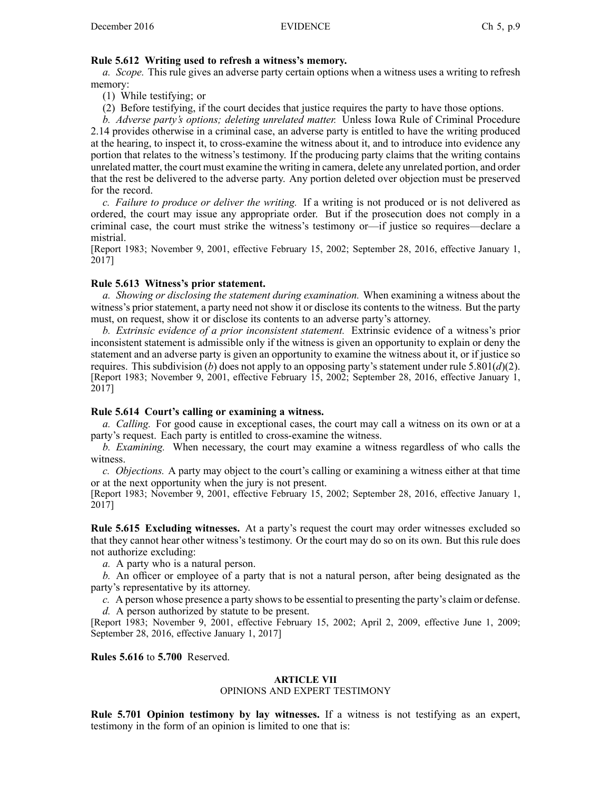### **Rule 5.612 Writing used to refresh <sup>a</sup> witness's memory.**

*a. Scope.* This rule gives an adverse party certain options when <sup>a</sup> witness uses <sup>a</sup> writing to refresh memory:

(1) While testifying; or

(2) Before testifying, if the court decides that justice requires the party to have those options.

*b. Adverse party's options; deleting unrelated matter.* Unless Iowa Rule of Criminal Procedure 2.14 provides otherwise in <sup>a</sup> criminal case, an adverse party is entitled to have the writing produced at the hearing, to inspect it, to cross-examine the witness about it, and to introduce into evidence any portion that relates to the witness's testimony. If the producing party claims that the writing contains unrelated matter, the court must examine the writing in camera, delete any unrelated portion, and order that the rest be delivered to the adverse party. Any portion deleted over objection must be preserved for the record.

*c. Failure to produce or deliver the writing.* If <sup>a</sup> writing is not produced or is not delivered as ordered, the court may issue any appropriate order. But if the prosecution does not comply in <sup>a</sup> criminal case, the court must strike the witness's testimony or—if justice so requires—declare <sup>a</sup> mistrial.

[Report 1983; November 9, 2001, effective February 15, 2002; September 28, 2016, effective January 1, 2017]

#### **Rule 5.613 Witness's prior statement.**

*a. Showing or disclosing the statement during examination.* When examining <sup>a</sup> witness about the witness's prior statement, <sup>a</sup> party need not show it or disclose its contents to the witness. But the party must, on request, show it or disclose its contents to an adverse party's attorney.

*b. Extrinsic evidence of <sup>a</sup> prior inconsistent statement.* Extrinsic evidence of <sup>a</sup> witness's prior inconsistent statement is admissible only if the witness is given an opportunity to explain or deny the statement and an adverse party is given an opportunity to examine the witness about it, or if justice so requires. This subdivision (*b*) does not apply to an opposing party's statement under rule 5.801(*d*)(2). [Report 1983; November 9, 2001, effective February 15, 2002; September 28, 2016, effective January 1, 2017]

#### **Rule 5.614 Court's calling or examining <sup>a</sup> witness.**

*a. Calling.* For good cause in exceptional cases, the court may call <sup>a</sup> witness on its own or at <sup>a</sup> party's request. Each party is entitled to cross-examine the witness.

*b. Examining.* When necessary, the court may examine <sup>a</sup> witness regardless of who calls the witness.

*c. Objections.* A party may object to the court's calling or examining <sup>a</sup> witness either at that time or at the next opportunity when the jury is not present.

[Report 1983; November 9, 2001, effective February 15, 2002; September 28, 2016, effective January 1, 2017]

**Rule 5.615 Excluding witnesses.** At <sup>a</sup> party's reques<sup>t</sup> the court may order witnesses excluded so that they cannot hear other witness's testimony. Or the court may do so on its own. But this rule does not authorize excluding:

*a.* A party who is <sup>a</sup> natural person.

*b.* An officer or employee of <sup>a</sup> party that is not <sup>a</sup> natural person, after being designated as the party's representative by its attorney.

*c.* A person whose presence a party shows to be essential to presenting the party's claim or defense.

*d.* A person authorized by statute to be present.

[Report 1983; November 9, 2001, effective February 15, 2002; April 2, 2009, effective June 1, 2009; September 28, 2016, effective January 1, 2017]

#### **Rules 5.616** to **5.700** Reserved.

#### **ARTICLE VII**

### OPINIONS AND EXPERT TESTIMONY

**Rule 5.701 Opinion testimony by lay witnesses.** If <sup>a</sup> witness is not testifying as an expert, testimony in the form of an opinion is limited to one that is: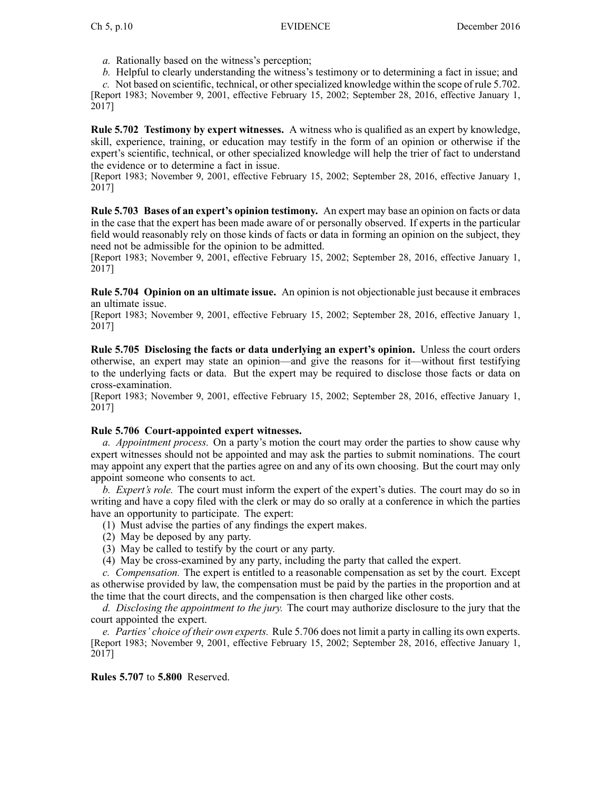- *a.* Rationally based on the witness's perception;
- *b.* Helpful to clearly understanding the witness's testimony or to determining <sup>a</sup> fact in issue; and

*c.* Not based on scientific, technical, or otherspecialized knowledge within the scope of rule 5.702. [Report 1983; November 9, 2001, effective February 15, 2002; September 28, 2016, effective January 1, 2017]

**Rule 5.702 Testimony by exper<sup>t</sup> witnesses.** A witness who is qualified as an exper<sup>t</sup> by knowledge, skill, experience, training, or education may testify in the form of an opinion or otherwise if the expert's scientific, technical, or other specialized knowledge will help the trier of fact to understand the evidence or to determine <sup>a</sup> fact in issue.

[Report 1983; November 9, 2001, effective February 15, 2002; September 28, 2016, effective January 1, 2017]

**Rule 5.703 Bases of an expert's opinion testimony.** An exper<sup>t</sup> may base an opinion on facts or data in the case that the exper<sup>t</sup> has been made aware of or personally observed. If experts in the particular field would reasonably rely on those kinds of facts or data in forming an opinion on the subject, they need not be admissible for the opinion to be admitted.

[Report 1983; November 9, 2001, effective February 15, 2002; September 28, 2016, effective January 1, 2017]

**Rule 5.704 Opinion on an ultimate issue.** An opinion is not objectionable just because it embraces an ultimate issue.

[Report 1983; November 9, 2001, effective February 15, 2002; September 28, 2016, effective January 1, 2017]

**Rule 5.705 Disclosing the facts or data underlying an expert's opinion.** Unless the court orders otherwise, an exper<sup>t</sup> may state an opinion—and give the reasons for it—without first testifying to the underlying facts or data. But the exper<sup>t</sup> may be required to disclose those facts or data on cross-examination.

[Report 1983; November 9, 2001, effective February 15, 2002; September 28, 2016, effective January 1, 2017]

### **Rule 5.706 Court-appointed expert witnesses.**

*a. Appointment process.* On <sup>a</sup> party's motion the court may order the parties to show cause why exper<sup>t</sup> witnesses should not be appointed and may ask the parties to submit nominations. The court may appoint any exper<sup>t</sup> that the parties agree on and any of its own choosing. But the court may only appoint someone who consents to act.

*b. Expert's role.* The court must inform the exper<sup>t</sup> of the expert's duties. The court may do so in writing and have <sup>a</sup> copy filed with the clerk or may do so orally at <sup>a</sup> conference in which the parties have an opportunity to participate. The expert:

- (1) Must advise the parties of any findings the exper<sup>t</sup> makes.
- (2) May be deposed by any party.
- (3) May be called to testify by the court or any party.
- (4) May be cross-examined by any party, including the party that called the expert.

*c. Compensation.* The exper<sup>t</sup> is entitled to <sup>a</sup> reasonable compensation as set by the court. Except as otherwise provided by law, the compensation must be paid by the parties in the proportion and at the time that the court directs, and the compensation is then charged like other costs.

*d. Disclosing the appointment to the jury.* The court may authorize disclosure to the jury that the court appointed the expert.

*e. Parties' choice of their own experts.* Rule 5.706 does not limit <sup>a</sup> party in calling its own experts. [Report 1983; November 9, 2001, effective February 15, 2002; September 28, 2016, effective January 1, 2017]

**Rules 5.707** to **5.800** Reserved.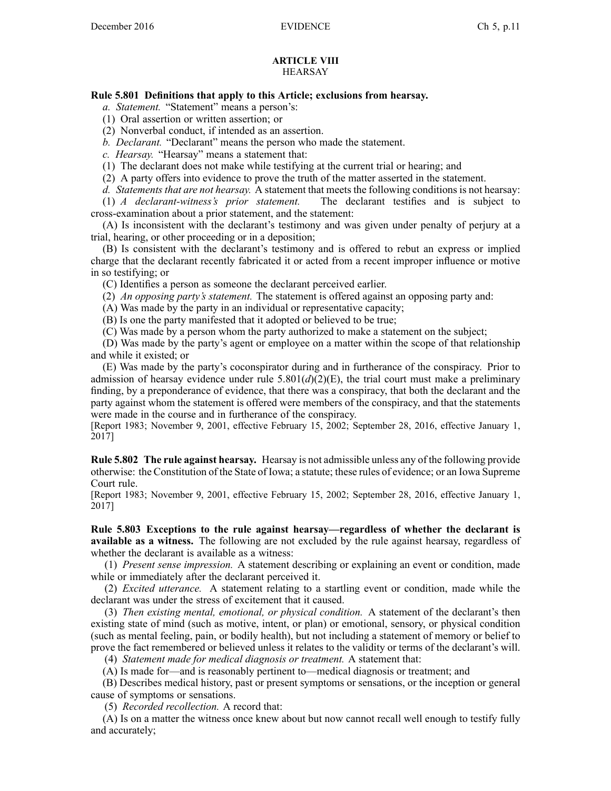#### **ARTICLE VIII HEARSAY**

### **Rule 5.801 Definitions that apply to this Article; exclusions from hearsay.**

*a. Statement.* "Statement" means <sup>a</sup> person's:

(1) Oral assertion or written assertion; or

(2) Nonverbal conduct, if intended as an assertion.

*b. Declarant.* "Declarant" means the person who made the statement.

*c. Hearsay.* "Hearsay" means <sup>a</sup> statement that:

(1) The declarant does not make while testifying at the current trial or hearing; and

(2) A party offers into evidence to prove the truth of the matter asserted in the statement.

*d. Statements that are not hearsay.* A statement that meets the following conditions is not hearsay:

(1) *A declarant-witness's prior statement.* The declarant testifies and is subject to cross-examination about <sup>a</sup> prior statement, and the statement:

(A) Is inconsistent with the declarant's testimony and was given under penalty of perjury at <sup>a</sup> trial, hearing, or other proceeding or in <sup>a</sup> deposition;

(B) Is consistent with the declarant's testimony and is offered to rebut an express or implied charge that the declarant recently fabricated it or acted from <sup>a</sup> recent improper influence or motive in so testifying; or

(C) Identifies <sup>a</sup> person as someone the declarant perceived earlier.

(2) *An opposing party's statement.* The statement is offered against an opposing party and:

(A) Was made by the party in an individual or representative capacity;

(B) Is one the party manifested that it adopted or believed to be true;

(C) Was made by <sup>a</sup> person whom the party authorized to make <sup>a</sup> statement on the subject;

(D) Was made by the party's agen<sup>t</sup> or employee on <sup>a</sup> matter within the scope of that relationship and while it existed; or

(E) Was made by the party's coconspirator during and in furtherance of the conspiracy. Prior to admission of hearsay evidence under rule  $5.801(d)(2)(E)$ , the trial court must make a preliminary finding, by <sup>a</sup> preponderance of evidence, that there was <sup>a</sup> conspiracy, that both the declarant and the party against whom the statement is offered were members of the conspiracy, and that the statements were made in the course and in furtherance of the conspiracy.

[Report 1983; November 9, 2001, effective February 15, 2002; September 28, 2016, effective January 1, 2017]

**Rule 5.802 The rule against hearsay.** Hearsay is not admissible unless any of the following provide otherwise: the Constitution of the State of Iowa; <sup>a</sup> statute; these rules of evidence; or an Iowa Supreme Court rule.

[Report 1983; November 9, 2001, effective February 15, 2002; September 28, 2016, effective January 1, 2017]

**Rule 5.803 Exceptions to the rule against hearsay—regardless of whether the declarant is available as <sup>a</sup> witness.** The following are not excluded by the rule against hearsay, regardless of whether the declarant is available as <sup>a</sup> witness:

(1) *Present sense impression.* A statement describing or explaining an event or condition, made while or immediately after the declarant perceived it.

(2) *Excited utterance.* A statement relating to <sup>a</sup> startling event or condition, made while the declarant was under the stress of excitement that it caused.

(3) *Then existing mental, emotional, or physical condition.* A statement of the declarant's then existing state of mind (such as motive, intent, or plan) or emotional, sensory, or physical condition (such as mental feeling, pain, or bodily health), but not including <sup>a</sup> statement of memory or belief to prove the fact remembered or believed unless it relates to the validity or terms of the declarant's will.

(4) *Statement made for medical diagnosis or treatment.* A statement that:

(A) Is made for—and is reasonably pertinent to—medical diagnosis or treatment; and

(B) Describes medical history, pas<sup>t</sup> or presen<sup>t</sup> symptoms or sensations, or the inception or general cause of symptoms or sensations.

(5) *Recorded recollection.* A record that:

(A) Is on <sup>a</sup> matter the witness once knew about but now cannot recall well enough to testify fully and accurately;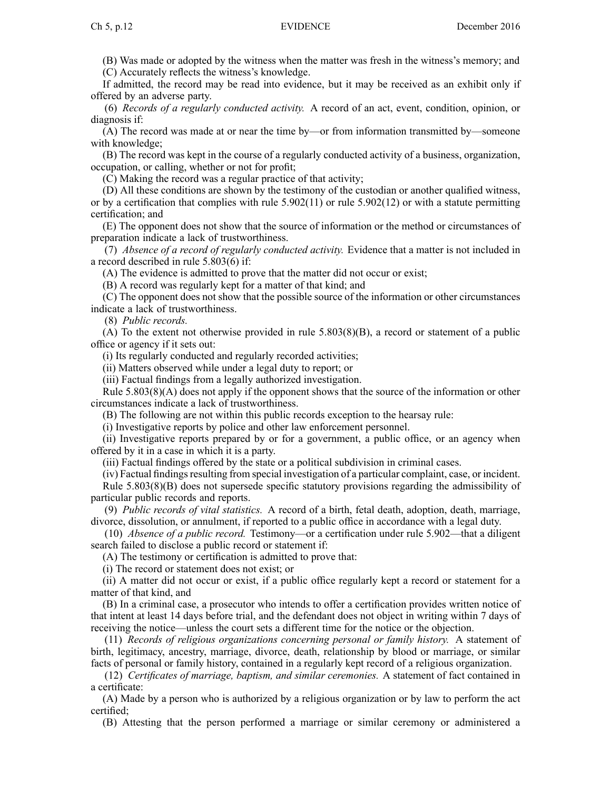(B) Was made or adopted by the witness when the matter was fresh in the witness's memory; and

(C) Accurately reflects the witness's knowledge.

If admitted, the record may be read into evidence, but it may be received as an exhibit only if offered by an adverse party.

(6) *Records of <sup>a</sup> regularly conducted activity.* A record of an act, event, condition, opinion, or diagnosis if:

(A) The record was made at or near the time by—or from information transmitted by—someone with knowledge;

(B) The record was kept in the course of <sup>a</sup> regularly conducted activity of <sup>a</sup> business, organization, occupation, or calling, whether or not for profit;

(C) Making the record was <sup>a</sup> regular practice of that activity;

(D) All these conditions are shown by the testimony of the custodian or another qualified witness, or by a certification that complies with rule  $5.902(11)$  or rule  $5.902(12)$  or with a statute permitting certification; and

(E) The opponen<sup>t</sup> does not show that the source of information or the method or circumstances of preparation indicate <sup>a</sup> lack of trustworthiness.

(7) *Absence of <sup>a</sup> record of regularly conducted activity.* Evidence that <sup>a</sup> matter is not included in <sup>a</sup> record described in rule 5.803(6) if:

(A) The evidence is admitted to prove that the matter did not occur or exist;

(B) A record was regularly kept for <sup>a</sup> matter of that kind; and

(C) The opponen<sup>t</sup> does not show that the possible source of the information or other circumstances indicate <sup>a</sup> lack of trustworthiness.

(8) *Public records.*

(A) To the extent not otherwise provided in rule 5.803(8)(B), <sup>a</sup> record or statement of <sup>a</sup> public office or agency if it sets out:

(i) Its regularly conducted and regularly recorded activities;

(ii) Matters observed while under <sup>a</sup> legal duty to report; or

(iii) Factual findings from <sup>a</sup> legally authorized investigation.

Rule 5.803(8)(A) does not apply if the opponen<sup>t</sup> shows that the source of the information or other circumstances indicate <sup>a</sup> lack of trustworthiness.

(B) The following are not within this public records exception to the hearsay rule:

(i) Investigative reports by police and other law enforcement personnel.

(ii) Investigative reports prepared by or for <sup>a</sup> government, <sup>a</sup> public office, or an agency when offered by it in <sup>a</sup> case in which it is <sup>a</sup> party.

(iii) Factual findings offered by the state or <sup>a</sup> political subdivision in criminal cases.

(iv) Factual findingsresulting from special investigation of <sup>a</sup> particular complaint, case, or incident. Rule 5.803(8)(B) does not supersede specific statutory provisions regarding the admissibility of particular public records and reports.

(9) *Public records of vital statistics.* A record of <sup>a</sup> birth, fetal death, adoption, death, marriage, divorce, dissolution, or annulment, if reported to <sup>a</sup> public office in accordance with <sup>a</sup> legal duty.

(10) *Absence of <sup>a</sup> public record.* Testimony—or <sup>a</sup> certification under rule 5.902—that <sup>a</sup> diligent search failed to disclose <sup>a</sup> public record or statement if:

(A) The testimony or certification is admitted to prove that:

(i) The record or statement does not exist; or

(ii) A matter did not occur or exist, if <sup>a</sup> public office regularly kept <sup>a</sup> record or statement for <sup>a</sup> matter of that kind, and

(B) In <sup>a</sup> criminal case, <sup>a</sup> prosecutor who intends to offer <sup>a</sup> certification provides written notice of that intent at least 14 days before trial, and the defendant does not object in writing within 7 days of receiving the notice—unless the court sets <sup>a</sup> different time for the notice or the objection.

(11) *Records of religious organizations concerning personal or family history.* A statement of birth, legitimacy, ancestry, marriage, divorce, death, relationship by blood or marriage, or similar facts of personal or family history, contained in <sup>a</sup> regularly kept record of <sup>a</sup> religious organization.

(12) *Certificates of marriage, baptism, and similar ceremonies.* A statement of fact contained in <sup>a</sup> certificate:

(A) Made by <sup>a</sup> person who is authorized by <sup>a</sup> religious organization or by law to perform the act certified;

(B) Attesting that the person performed <sup>a</sup> marriage or similar ceremony or administered <sup>a</sup>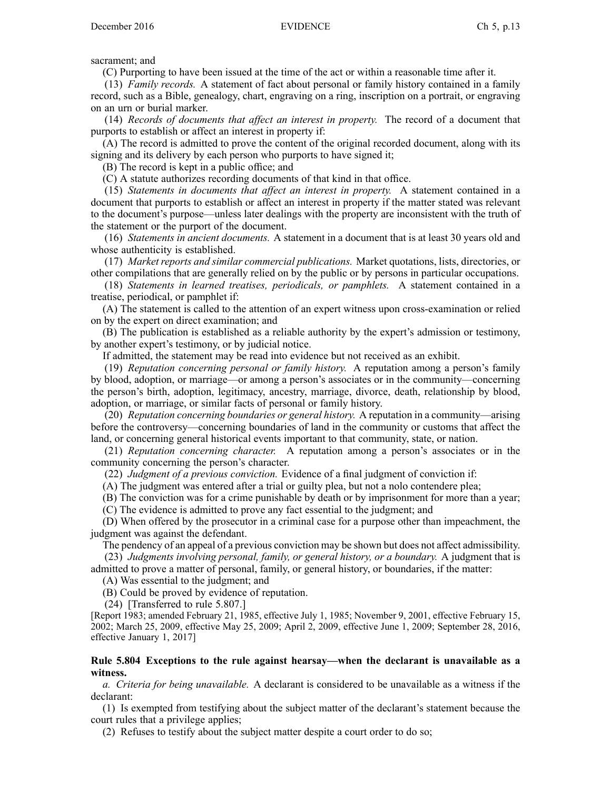sacrament; and

(C) Purporting to have been issued at the time of the act or within <sup>a</sup> reasonable time after it.

(13) *Family records.* A statement of fact about personal or family history contained in <sup>a</sup> family record, such as <sup>a</sup> Bible, genealogy, chart, engraving on <sup>a</sup> ring, inscription on <sup>a</sup> portrait, or engraving on an urn or burial marker.

(14) *Records of documents that affect an interest in property.* The record of <sup>a</sup> document that purports to establish or affect an interest in property if:

(A) The record is admitted to prove the content of the original recorded document, along with its signing and its delivery by each person who purports to have signed it;

(B) The record is kept in <sup>a</sup> public office; and

(C) A statute authorizes recording documents of that kind in that office.

(15) *Statements in documents that affect an interest in property.* A statement contained in <sup>a</sup> document that purports to establish or affect an interest in property if the matter stated was relevant to the document's purpose—unless later dealings with the property are inconsistent with the truth of the statement or the purpor<sup>t</sup> of the document.

(16) *Statements in ancient documents.* A statement in <sup>a</sup> document that is at least 30 years old and whose authenticity is established.

(17) *Market reports and similar commercial publications.* Market quotations, lists, directories, or other compilations that are generally relied on by the public or by persons in particular occupations.

(18) *Statements in learned treatises, periodicals, or pamphlets.* A statement contained in <sup>a</sup> treatise, periodical, or pamphlet if:

(A) The statement is called to the attention of an exper<sup>t</sup> witness upon cross-examination or relied on by the exper<sup>t</sup> on direct examination; and

(B) The publication is established as <sup>a</sup> reliable authority by the expert's admission or testimony, by another expert's testimony, or by judicial notice.

If admitted, the statement may be read into evidence but not received as an exhibit.

(19) *Reputation concerning personal or family history.* A reputation among <sup>a</sup> person's family by blood, adoption, or marriage—or among <sup>a</sup> person's associates or in the community—concerning the person's birth, adoption, legitimacy, ancestry, marriage, divorce, death, relationship by blood, adoption, or marriage, or similar facts of personal or family history.

(20) *Reputation concerning boundaries or general history.* A reputation in <sup>a</sup> community—arising before the controversy—concerning boundaries of land in the community or customs that affect the land, or concerning general historical events important to that community, state, or nation.

(21) *Reputation concerning character.* A reputation among <sup>a</sup> person's associates or in the community concerning the person's character.

(22) *Judgment of <sup>a</sup> previous conviction.* Evidence of <sup>a</sup> final judgment of conviction if:

(A) The judgment was entered after <sup>a</sup> trial or guilty plea, but not <sup>a</sup> nolo contendere plea;

(B) The conviction was for <sup>a</sup> crime punishable by death or by imprisonment for more than <sup>a</sup> year; (C) The evidence is admitted to prove any fact essential to the judgment; and

(D) When offered by the prosecutor in <sup>a</sup> criminal case for <sup>a</sup> purpose other than impeachment, the judgment was against the defendant.

The pendency of an appeal of <sup>a</sup> previous conviction may be shown but does not affect admissibility. (23) *Judgments involving personal, family, or general history, or <sup>a</sup> boundary.* A judgment that is admitted to prove <sup>a</sup> matter of personal, family, or general history, or boundaries, if the matter:

(A) Was essential to the judgment; and

(B) Could be proved by evidence of reputation.

(24) [Transferred to rule 5.807.]

[Report 1983; amended February 21, 1985, effective July 1, 1985; November 9, 2001, effective February 15, 2002; March 25, 2009, effective May 25, 2009; April 2, 2009, effective June 1, 2009; September 28, 2016, effective January 1, 2017]

#### **Rule 5.804 Exceptions to the rule against hearsay—when the declarant is unavailable as <sup>a</sup> witness.**

*a. Criteria for being unavailable.* A declarant is considered to be unavailable as <sup>a</sup> witness if the declarant:

(1) Is exempted from testifying about the subject matter of the declarant's statement because the court rules that <sup>a</sup> privilege applies;

(2) Refuses to testify about the subject matter despite <sup>a</sup> court order to do so;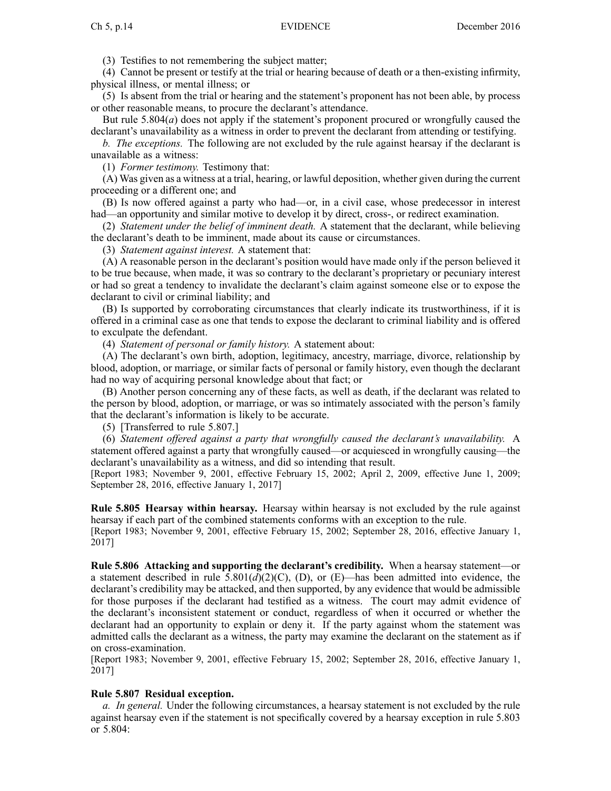(3) Testifies to not remembering the subject matter;

(4) Cannot be presen<sup>t</sup> or testify at the trial or hearing because of death or <sup>a</sup> then-existing infirmity, physical illness, or mental illness; or

(5) Is absent from the trial or hearing and the statement's proponen<sup>t</sup> has not been able, by process or other reasonable means, to procure the declarant's attendance.

But rule  $5.804(a)$  does not apply if the statement's proponent procured or wrongfully caused the declarant's unavailability as <sup>a</sup> witness in order to preven<sup>t</sup> the declarant from attending or testifying.

*b. The exceptions.* The following are not excluded by the rule against hearsay if the declarant is unavailable as <sup>a</sup> witness:

(1) *Former testimony.* Testimony that:

(A) Was given as <sup>a</sup> witness at <sup>a</sup> trial, hearing, or lawful deposition, whether given during the current proceeding or <sup>a</sup> different one; and

(B) Is now offered against <sup>a</sup> party who had—or, in <sup>a</sup> civil case, whose predecessor in interest had—an opportunity and similar motive to develop it by direct, cross-, or redirect examination.

(2) *Statement under the belief of imminent death.* A statement that the declarant, while believing the declarant's death to be imminent, made about its cause or circumstances.

(3) *Statement against interest.* A statement that:

(A) A reasonable person in the declarant's position would have made only if the person believed it to be true because, when made, it was so contrary to the declarant's proprietary or pecuniary interest or had so grea<sup>t</sup> <sup>a</sup> tendency to invalidate the declarant's claim against someone else or to expose the declarant to civil or criminal liability; and

(B) Is supported by corroborating circumstances that clearly indicate its trustworthiness, if it is offered in <sup>a</sup> criminal case as one that tends to expose the declarant to criminal liability and is offered to exculpate the defendant.

(4) *Statement of personal or family history.* A statement about:

(A) The declarant's own birth, adoption, legitimacy, ancestry, marriage, divorce, relationship by blood, adoption, or marriage, or similar facts of personal or family history, even though the declarant had no way of acquiring personal knowledge about that fact; or

(B) Another person concerning any of these facts, as well as death, if the declarant was related to the person by blood, adoption, or marriage, or was so intimately associated with the person's family that the declarant's information is likely to be accurate.

(5) [Transferred to rule 5.807.]

(6) *Statement offered against <sup>a</sup> party that wrongfully caused the declarant's unavailability.* A statement offered against <sup>a</sup> party that wrongfully caused—or acquiesced in wrongfully causing—the declarant's unavailability as <sup>a</sup> witness, and did so intending that result.

[Report 1983; November 9, 2001, effective February 15, 2002; April 2, 2009, effective June 1, 2009; September 28, 2016, effective January 1, 2017]

**Rule 5.805 Hearsay within hearsay.** Hearsay within hearsay is not excluded by the rule against hearsay if each par<sup>t</sup> of the combined statements conforms with an exception to the rule.

[Report 1983; November 9, 2001, effective February 15, 2002; September 28, 2016, effective January 1, 2017]

**Rule 5.806 Attacking and supporting the declarant's credibility.** When <sup>a</sup> hearsay statement—or a statement described in rule  $5.801(d)(2)(C)$ , (D), or (E)—has been admitted into evidence, the declarant's credibility may be attacked, and then supported, by any evidence that would be admissible for those purposes if the declarant had testified as <sup>a</sup> witness. The court may admit evidence of the declarant's inconsistent statement or conduct, regardless of when it occurred or whether the declarant had an opportunity to explain or deny it. If the party against whom the statement was admitted calls the declarant as <sup>a</sup> witness, the party may examine the declarant on the statement as if on cross-examination.

[Report 1983; November 9, 2001, effective February 15, 2002; September 28, 2016, effective January 1, 2017]

### **Rule 5.807 Residual exception.**

*a. In general.* Under the following circumstances, <sup>a</sup> hearsay statement is not excluded by the rule against hearsay even if the statement is not specifically covered by <sup>a</sup> hearsay exception in rule 5.803 or 5.804: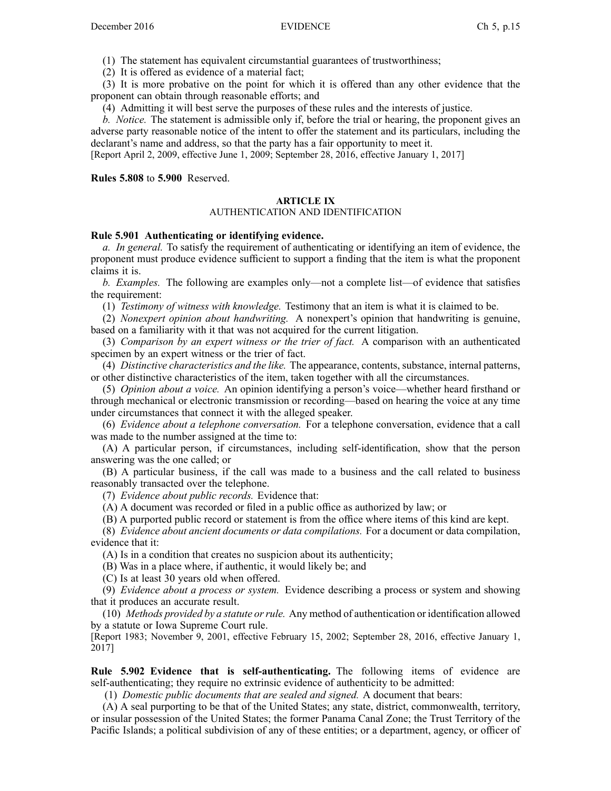(1) The statement has equivalent circumstantial guarantees of trustworthiness;

(2) It is offered as evidence of <sup>a</sup> material fact;

(3) It is more probative on the point for which it is offered than any other evidence that the proponen<sup>t</sup> can obtain through reasonable efforts; and

(4) Admitting it will best serve the purposes of these rules and the interests of justice.

*b. Notice.* The statement is admissible only if, before the trial or hearing, the proponen<sup>t</sup> gives an adverse party reasonable notice of the intent to offer the statement and its particulars, including the declarant's name and address, so that the party has <sup>a</sup> fair opportunity to meet it.

[Report April 2, 2009, effective June 1, 2009; September 28, 2016, effective January 1, 2017]

### **Rules 5.808** to **5.900** Reserved.

### **ARTICLE IX**

### AUTHENTICATION AND IDENTIFICATION

### **Rule 5.901 Authenticating or identifying evidence.**

*a. In general.* To satisfy the requirement of authenticating or identifying an item of evidence, the proponen<sup>t</sup> must produce evidence sufficient to suppor<sup>t</sup> <sup>a</sup> finding that the item is what the proponen<sup>t</sup> claims it is.

*b. Examples.* The following are examples only—not <sup>a</sup> complete list—of evidence that satisfies the requirement:

(1) *Testimony of witness with knowledge.* Testimony that an item is what it is claimed to be.

(2) *Nonexpert opinion about handwriting.* A nonexpert's opinion that handwriting is genuine, based on <sup>a</sup> familiarity with it that was not acquired for the current litigation.

(3) *Comparison by an exper<sup>t</sup> witness or the trier of fact.* A comparison with an authenticated specimen by an exper<sup>t</sup> witness or the trier of fact.

(4) *Distinctive characteristics and the like.* The appearance, contents, substance, internal patterns, or other distinctive characteristics of the item, taken together with all the circumstances.

(5) *Opinion about <sup>a</sup> voice.* An opinion identifying <sup>a</sup> person's voice—whether heard firsthand or through mechanical or electronic transmission or recording—based on hearing the voice at any time under circumstances that connect it with the alleged speaker.

(6) *Evidence about <sup>a</sup> telephone conversation.* For <sup>a</sup> telephone conversation, evidence that <sup>a</sup> call was made to the number assigned at the time to:

(A) A particular person, if circumstances, including self-identification, show that the person answering was the one called; or

(B) A particular business, if the call was made to <sup>a</sup> business and the call related to business reasonably transacted over the telephone.

(7) *Evidence about public records.* Evidence that:

(A) A document was recorded or filed in <sup>a</sup> public office as authorized by law; or

(B) A purported public record or statement is from the office where items of this kind are kept.

(8) *Evidence about ancient documents or data compilations.* For <sup>a</sup> document or data compilation, evidence that it:

(A) Is in <sup>a</sup> condition that creates no suspicion about its authenticity;

(B) Was in <sup>a</sup> place where, if authentic, it would likely be; and

(C) Is at least 30 years old when offered.

(9) *Evidence about <sup>a</sup> process or system.* Evidence describing <sup>a</sup> process or system and showing that it produces an accurate result.

(10) *Methods provided by <sup>a</sup> statute orrule.* Any method of authentication or identification allowed by <sup>a</sup> statute or Iowa Supreme Court rule.

[Report 1983; November 9, 2001, effective February 15, 2002; September 28, 2016, effective January 1, 2017]

**Rule 5.902 Evidence that is self-authenticating.** The following items of evidence are self-authenticating; they require no extrinsic evidence of authenticity to be admitted:

(1) *Domestic public documents that are sealed and signed.* A document that bears:

(A) A seal purporting to be that of the United States; any state, district, commonwealth, territory, or insular possession of the United States; the former Panama Canal Zone; the Trust Territory of the Pacific Islands; <sup>a</sup> political subdivision of any of these entities; or <sup>a</sup> department, agency, or officer of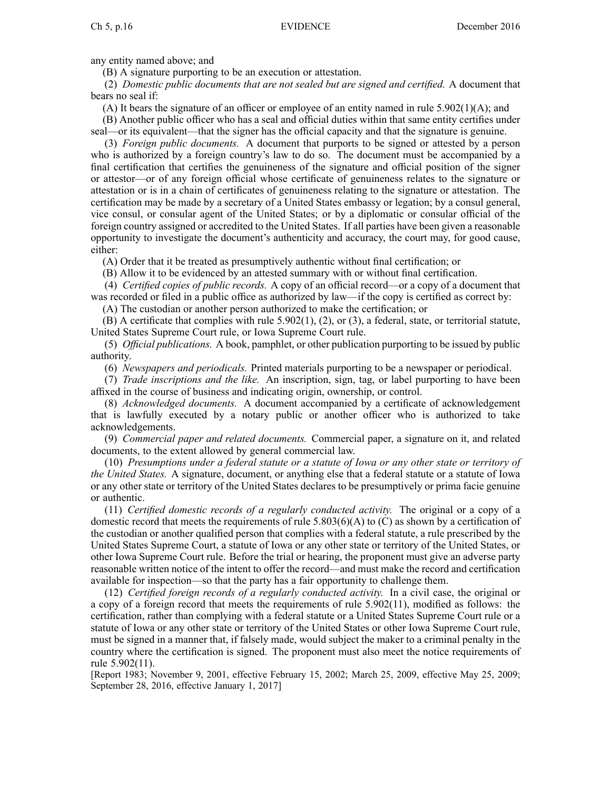any entity named above; and

(B) A signature purporting to be an execution or attestation.

(2) *Domestic public documents that are not sealed but are signed and certified.* A document that bears no seal if:

(A) It bears the signature of an officer or employee of an entity named in rule  $5.902(1)(A)$ ; and

(B) Another public officer who has <sup>a</sup> seal and official duties within that same entity certifies under seal—or its equivalent—that the signer has the official capacity and that the signature is genuine.

(3) *Foreign public documents.* A document that purports to be signed or attested by <sup>a</sup> person who is authorized by <sup>a</sup> foreign country's law to do so. The document must be accompanied by <sup>a</sup> final certification that certifies the genuineness of the signature and official position of the signer or attestor—or of any foreign official whose certificate of genuineness relates to the signature or attestation or is in <sup>a</sup> chain of certificates of genuineness relating to the signature or attestation. The certification may be made by <sup>a</sup> secretary of <sup>a</sup> United States embassy or legation; by <sup>a</sup> consul general, vice consul, or consular agen<sup>t</sup> of the United States; or by <sup>a</sup> diplomatic or consular official of the foreign country assigned or accredited to the United States. If all parties have been given <sup>a</sup> reasonable opportunity to investigate the document's authenticity and accuracy, the court may, for good cause, either:

(A) Order that it be treated as presumptively authentic without final certification; or

(B) Allow it to be evidenced by an attested summary with or without final certification.

(4) *Certified copies of public records.* A copy of an official record—or <sup>a</sup> copy of <sup>a</sup> document that was recorded or filed in a public office as authorized by law—if the copy is certified as correct by:

(A) The custodian or another person authorized to make the certification; or

(B) A certificate that complies with rule 5.902(1), (2), or (3), <sup>a</sup> federal, state, or territorial statute, United States Supreme Court rule, or Iowa Supreme Court rule.

(5) *Official publications.* A book, pamphlet, or other publication purporting to be issued by public authority.

(6) *Newspapers and periodicals.* Printed materials purporting to be <sup>a</sup> newspaper or periodical.

(7) *Trade inscriptions and the like.* An inscription, sign, tag, or label purporting to have been affixed in the course of business and indicating origin, ownership, or control.

(8) *Acknowledged documents.* A document accompanied by <sup>a</sup> certificate of acknowledgement that is lawfully executed by <sup>a</sup> notary public or another officer who is authorized to take acknowledgements.

(9) *Commercial paper and related documents.* Commercial paper, <sup>a</sup> signature on it, and related documents, to the extent allowed by general commercial law.

(10) *Presumptions under <sup>a</sup> federal statute or <sup>a</sup> statute of Iowa or any other state or territory of the United States.* A signature, document, or anything else that <sup>a</sup> federal statute or <sup>a</sup> statute of Iowa or any other state or territory of the United States declares to be presumptively or prima facie genuine or authentic.

(11) *Certified domestic records of <sup>a</sup> regularly conducted activity.* The original or <sup>a</sup> copy of <sup>a</sup> domestic record that meets the requirements of rule 5.803(6)(A) to (C) as shown by <sup>a</sup> certification of the custodian or another qualified person that complies with <sup>a</sup> federal statute, <sup>a</sup> rule prescribed by the United States Supreme Court, <sup>a</sup> statute of Iowa or any other state or territory of the United States, or other Iowa Supreme Court rule. Before the trial or hearing, the proponen<sup>t</sup> must give an adverse party reasonable written notice of the intent to offer the record—and must make the record and certification available for inspection—so that the party has <sup>a</sup> fair opportunity to challenge them.

(12) *Certified foreign records of <sup>a</sup> regularly conducted activity.* In <sup>a</sup> civil case, the original or <sup>a</sup> copy of <sup>a</sup> foreign record that meets the requirements of rule 5.902(11), modified as follows: the certification, rather than complying with <sup>a</sup> federal statute or <sup>a</sup> United States Supreme Court rule or <sup>a</sup> statute of Iowa or any other state or territory of the United States or other Iowa Supreme Court rule, must be signed in <sup>a</sup> manner that, if falsely made, would subject the maker to <sup>a</sup> criminal penalty in the country where the certification is signed. The proponen<sup>t</sup> must also meet the notice requirements of rule 5.902(11).

[Report 1983; November 9, 2001, effective February 15, 2002; March 25, 2009, effective May 25, 2009; September 28, 2016, effective January 1, 2017]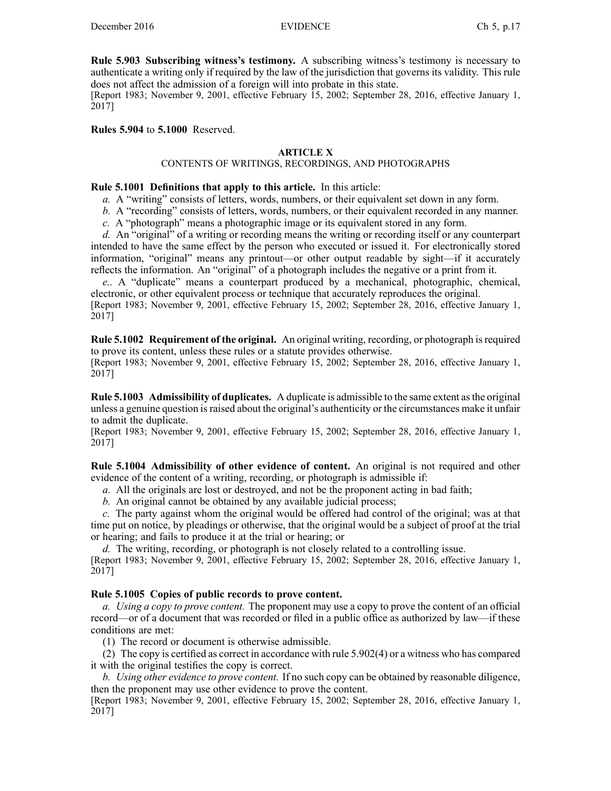**Rule 5.903 Subscribing witness's testimony.** A subscribing witness's testimony is necessary to authenticate <sup>a</sup> writing only if required by the law of the jurisdiction that governs its validity. This rule does not affect the admission of <sup>a</sup> foreign will into probate in this state.

[Report 1983; November 9, 2001, effective February 15, 2002; September 28, 2016, effective January 1, 2017]

### **Rules 5.904** to **5.1000** Reserved.

#### **ARTICLE X**

### CONTENTS OF WRITINGS, RECORDINGS, AND PHOTOGRAPHS

#### **Rule 5.1001 Definitions that apply to this article.** In this article:

*a.* A "writing" consists of letters, words, numbers, or their equivalent set down in any form.

*b.* A "recording" consists of letters, words, numbers, or their equivalent recorded in any manner.

*c.* A "photograph" means <sup>a</sup> photographic image or its equivalent stored in any form.

*d.* An "original" of <sup>a</sup> writing or recording means the writing or recording itself or any counterpart intended to have the same effect by the person who executed or issued it. For electronically stored information, "original" means any printout—or other output readable by sight—if it accurately reflects the information. An "original" of <sup>a</sup> photograph includes the negative or <sup>a</sup> print from it.

*e..* A "duplicate" means <sup>a</sup> counterpart produced by <sup>a</sup> mechanical, photographic, chemical, electronic, or other equivalent process or technique that accurately reproduces the original. [Report 1983; November 9, 2001, effective February 15, 2002; September 28, 2016, effective January 1,

2017]

**Rule 5.1002 Requirement of the original.** An original writing, recording, or photograph isrequired to prove its content, unless these rules or <sup>a</sup> statute provides otherwise.

[Report 1983; November 9, 2001, effective February 15, 2002; September 28, 2016, effective January 1, 2017]

**Rule 5.1003 Admissibility of duplicates.** A duplicate is admissible to the same extent asthe original unless <sup>a</sup> genuine question israised about the original's authenticity or the circumstances make it unfair to admit the duplicate.

[Report 1983; November 9, 2001, effective February 15, 2002; September 28, 2016, effective January 1, 2017]

**Rule 5.1004 Admissibility of other evidence of content.** An original is not required and other evidence of the content of <sup>a</sup> writing, recording, or photograph is admissible if:

*a.* All the originals are lost or destroyed, and not be the proponen<sup>t</sup> acting in bad faith;

*b.* An original cannot be obtained by any available judicial process;

*c.* The party against whom the original would be offered had control of the original; was at that time pu<sup>t</sup> on notice, by pleadings or otherwise, that the original would be <sup>a</sup> subject of proof at the trial or hearing; and fails to produce it at the trial or hearing; or

*d.* The writing, recording, or photograph is not closely related to <sup>a</sup> controlling issue.

[Report 1983; November 9, 2001, effective February 15, 2002; September 28, 2016, effective January 1, 2017]

#### **Rule 5.1005 Copies of public records to prove content.**

*a. Using <sup>a</sup> copy to prove content.* The proponen<sup>t</sup> may use <sup>a</sup> copy to prove the content of an official record—or of <sup>a</sup> document that was recorded or filed in <sup>a</sup> public office as authorized by law—if these conditions are met:

(1) The record or document is otherwise admissible.

(2) The copy is certified as correct in accordance with rule 5.902(4) or <sup>a</sup> witness who has compared it with the original testifies the copy is correct.

*b. Using other evidence to prove content.* If no such copy can be obtained by reasonable diligence, then the proponen<sup>t</sup> may use other evidence to prove the content.

[Report 1983; November 9, 2001, effective February 15, 2002; September 28, 2016, effective January 1, 2017]